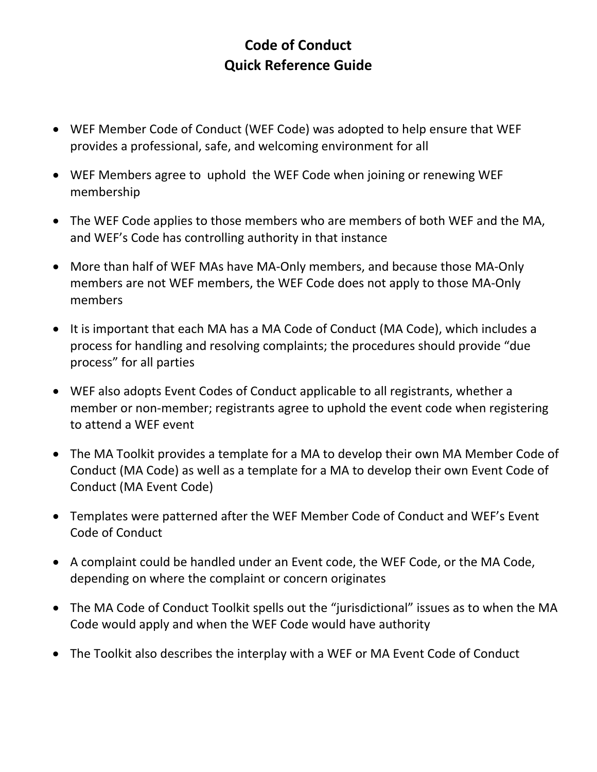## **Code of Conduct Quick Reference Guide**

- WEF Member Code of Conduct (WEF Code) was adopted to help ensure that WEF provides a professional, safe, and welcoming environment for all
- WEF Members agree to uphold the WEF Code when joining or renewing WEF membership
- The WEF Code applies to those members who are members of both WEF and the MA, and WEF's Code has controlling authority in that instance
- More than half of WEF MAs have MA-Only members, and because those MA-Only members are not WEF members, the WEF Code does not apply to those MA‐Only members
- It is important that each MA has a MA Code of Conduct (MA Code), which includes a process for handling and resolving complaints; the procedures should provide "due process" for all parties
- WEF also adopts Event Codes of Conduct applicable to all registrants, whether a member or non‐member; registrants agree to uphold the event code when registering to attend a WEF event
- The MA Toolkit provides a template for a MA to develop their own MA Member Code of Conduct (MA Code) as well as a template for a MA to develop their own Event Code of Conduct (MA Event Code)
- Templates were patterned after the WEF Member Code of Conduct and WEF's Event Code of Conduct
- A complaint could be handled under an Event code, the WEF Code, or the MA Code, depending on where the complaint or concern originates
- The MA Code of Conduct Toolkit spells out the "jurisdictional" issues as to when the MA Code would apply and when the WEF Code would have authority
- The Toolkit also describes the interplay with a WEF or MA Event Code of Conduct